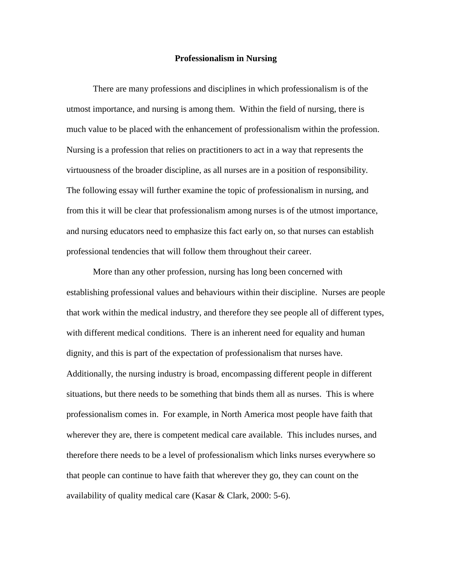## **Professionalism in Nursing**

There are many professions and disciplines in which professionalism is of the utmost importance, and nursing is among them. Within the field of nursing, there is much value to be placed with the enhancement of professionalism within the profession. Nursing is a profession that relies on practitioners to act in a way that represents the virtuousness of the broader discipline, as all nurses are in a position of responsibility. The following essay will further examine the topic of professionalism in nursing, and from this it will be clear that professionalism among nurses is of the utmost importance, and nursing educators need to emphasize this fact early on, so that nurses can establish professional tendencies that will follow them throughout their career.

More than any other profession, nursing has long been concerned with establishing professional values and behaviours within their discipline. Nurses are people that work within the medical industry, and therefore they see people all of different types, with different medical conditions. There is an inherent need for equality and human dignity, and this is part of the expectation of professionalism that nurses have. Additionally, the nursing industry is broad, encompassing different people in different situations, but there needs to be something that binds them all as nurses. This is where professionalism comes in. For example, in North America most people have faith that wherever they are, there is competent medical care available. This includes nurses, and therefore there needs to be a level of professionalism which links nurses everywhere so that people can continue to have faith that wherever they go, they can count on the availability of quality medical care (Kasar & Clark, 2000: 5-6).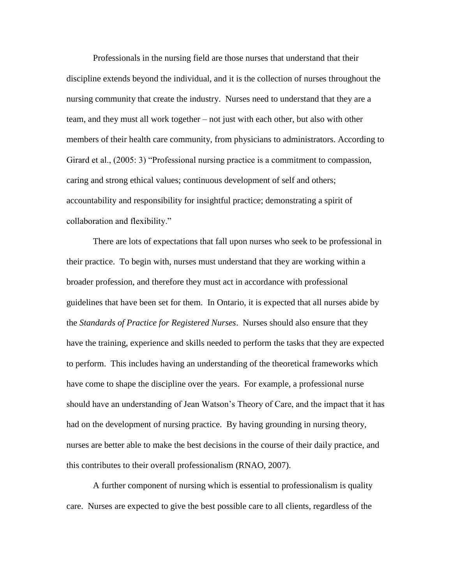Professionals in the nursing field are those nurses that understand that their discipline extends beyond the individual, and it is the collection of nurses throughout the nursing community that create the industry. Nurses need to understand that they are a team, and they must all work together – not just with each other, but also with other members of their health care community, from physicians to administrators. According to Girard et al., (2005: 3) "Professional nursing practice is a commitment to compassion, caring and strong ethical values; continuous development of self and others; accountability and responsibility for insightful practice; demonstrating a spirit of collaboration and flexibility."

There are lots of expectations that fall upon nurses who seek to be professional in their practice. To begin with, nurses must understand that they are working within a broader profession, and therefore they must act in accordance with professional guidelines that have been set for them. In Ontario, it is expected that all nurses abide by the *Standards of Practice for Registered Nurses*. Nurses should also ensure that they have the training, experience and skills needed to perform the tasks that they are expected to perform. This includes having an understanding of the theoretical frameworks which have come to shape the discipline over the years. For example, a professional nurse should have an understanding of Jean Watson's Theory of Care, and the impact that it has had on the development of nursing practice. By having grounding in nursing theory, nurses are better able to make the best decisions in the course of their daily practice, and this contributes to their overall professionalism (RNAO, 2007).

A further component of nursing which is essential to professionalism is quality care. Nurses are expected to give the best possible care to all clients, regardless of the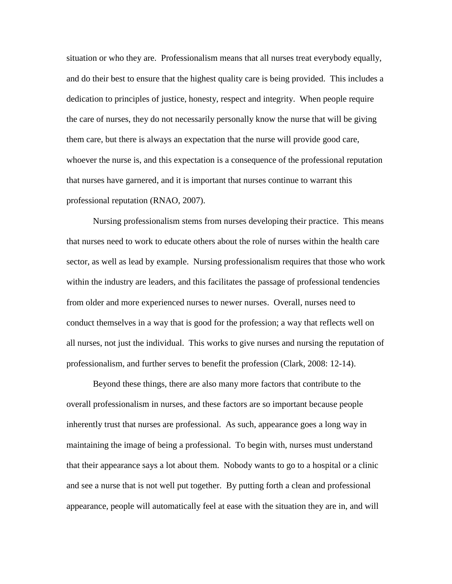situation or who they are. Professionalism means that all nurses treat everybody equally, and do their best to ensure that the highest quality care is being provided. This includes a dedication to principles of justice, honesty, respect and integrity. When people require the care of nurses, they do not necessarily personally know the nurse that will be giving them care, but there is always an expectation that the nurse will provide good care, whoever the nurse is, and this expectation is a consequence of the professional reputation that nurses have garnered, and it is important that nurses continue to warrant this professional reputation (RNAO, 2007).

Nursing professionalism stems from nurses developing their practice. This means that nurses need to work to educate others about the role of nurses within the health care sector, as well as lead by example. Nursing professionalism requires that those who work within the industry are leaders, and this facilitates the passage of professional tendencies from older and more experienced nurses to newer nurses. Overall, nurses need to conduct themselves in a way that is good for the profession; a way that reflects well on all nurses, not just the individual. This works to give nurses and nursing the reputation of professionalism, and further serves to benefit the profession (Clark, 2008: 12-14).

Beyond these things, there are also many more factors that contribute to the overall professionalism in nurses, and these factors are so important because people inherently trust that nurses are professional. As such, appearance goes a long way in maintaining the image of being a professional. To begin with, nurses must understand that their appearance says a lot about them. Nobody wants to go to a hospital or a clinic and see a nurse that is not well put together. By putting forth a clean and professional appearance, people will automatically feel at ease with the situation they are in, and will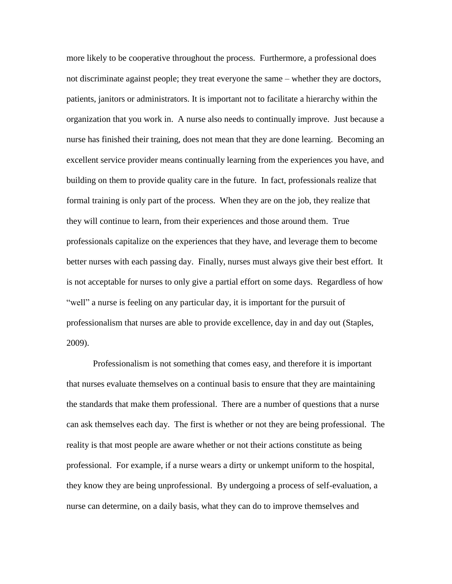more likely to be cooperative throughout the process. Furthermore, a professional does not discriminate against people; they treat everyone the same – whether they are doctors, patients, janitors or administrators. It is important not to facilitate a hierarchy within the organization that you work in. A nurse also needs to continually improve. Just because a nurse has finished their training, does not mean that they are done learning. Becoming an excellent service provider means continually learning from the experiences you have, and building on them to provide quality care in the future. In fact, professionals realize that formal training is only part of the process. When they are on the job, they realize that they will continue to learn, from their experiences and those around them. True professionals capitalize on the experiences that they have, and leverage them to become better nurses with each passing day. Finally, nurses must always give their best effort. It is not acceptable for nurses to only give a partial effort on some days. Regardless of how "well" a nurse is feeling on any particular day, it is important for the pursuit of professionalism that nurses are able to provide excellence, day in and day out (Staples, 2009).

Professionalism is not something that comes easy, and therefore it is important that nurses evaluate themselves on a continual basis to ensure that they are maintaining the standards that make them professional. There are a number of questions that a nurse can ask themselves each day. The first is whether or not they are being professional. The reality is that most people are aware whether or not their actions constitute as being professional. For example, if a nurse wears a dirty or unkempt uniform to the hospital, they know they are being unprofessional. By undergoing a process of self-evaluation, a nurse can determine, on a daily basis, what they can do to improve themselves and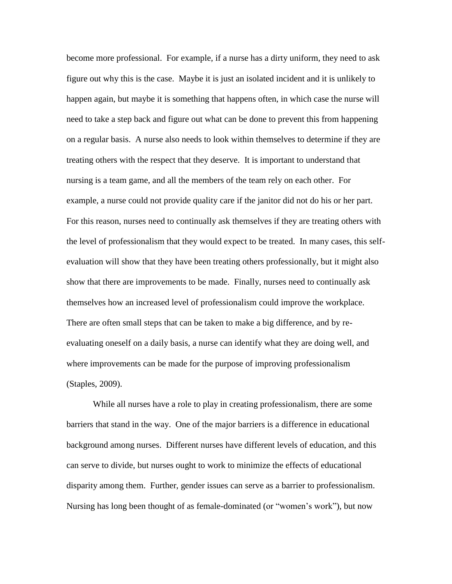become more professional. For example, if a nurse has a dirty uniform, they need to ask figure out why this is the case. Maybe it is just an isolated incident and it is unlikely to happen again, but maybe it is something that happens often, in which case the nurse will need to take a step back and figure out what can be done to prevent this from happening on a regular basis. A nurse also needs to look within themselves to determine if they are treating others with the respect that they deserve. It is important to understand that nursing is a team game, and all the members of the team rely on each other. For example, a nurse could not provide quality care if the janitor did not do his or her part. For this reason, nurses need to continually ask themselves if they are treating others with the level of professionalism that they would expect to be treated. In many cases, this selfevaluation will show that they have been treating others professionally, but it might also show that there are improvements to be made. Finally, nurses need to continually ask themselves how an increased level of professionalism could improve the workplace. There are often small steps that can be taken to make a big difference, and by reevaluating oneself on a daily basis, a nurse can identify what they are doing well, and where improvements can be made for the purpose of improving professionalism (Staples, 2009).

While all nurses have a role to play in creating professionalism, there are some barriers that stand in the way. One of the major barriers is a difference in educational background among nurses. Different nurses have different levels of education, and this can serve to divide, but nurses ought to work to minimize the effects of educational disparity among them. Further, gender issues can serve as a barrier to professionalism. Nursing has long been thought of as female-dominated (or "women's work"), but now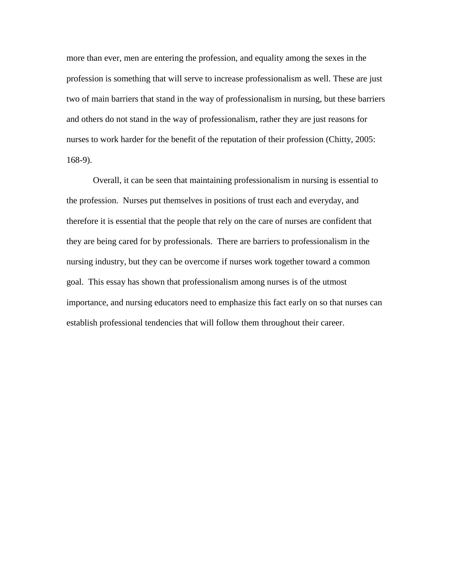more than ever, men are entering the profession, and equality among the sexes in the profession is something that will serve to increase professionalism as well. These are just two of main barriers that stand in the way of professionalism in nursing, but these barriers and others do not stand in the way of professionalism, rather they are just reasons for nurses to work harder for the benefit of the reputation of their profession (Chitty, 2005: 168-9).

Overall, it can be seen that maintaining professionalism in nursing is essential to the profession. Nurses put themselves in positions of trust each and everyday, and therefore it is essential that the people that rely on the care of nurses are confident that they are being cared for by professionals. There are barriers to professionalism in the nursing industry, but they can be overcome if nurses work together toward a common goal. This essay has shown that professionalism among nurses is of the utmost importance, and nursing educators need to emphasize this fact early on so that nurses can establish professional tendencies that will follow them throughout their career.